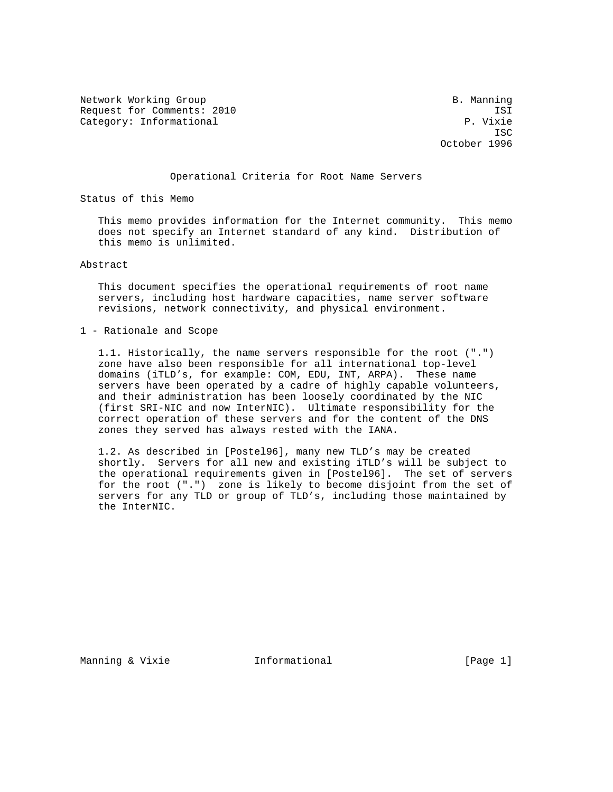Network Working Group and B. Manning B. Manning Request for Comments: 2010 ISI IST<br>Category: Informational P. Vixie Category: Informational

**ISC** ISC 2003 **ISC** ISC 30 **ISC** October 1996

## Operational Criteria for Root Name Servers

Status of this Memo

 This memo provides information for the Internet community. This memo does not specify an Internet standard of any kind. Distribution of this memo is unlimited.

Abstract

 This document specifies the operational requirements of root name servers, including host hardware capacities, name server software revisions, network connectivity, and physical environment.

1 - Rationale and Scope

 1.1. Historically, the name servers responsible for the root (".") zone have also been responsible for all international top-level domains (iTLD's, for example: COM, EDU, INT, ARPA). These name servers have been operated by a cadre of highly capable volunteers, and their administration has been loosely coordinated by the NIC (first SRI-NIC and now InterNIC). Ultimate responsibility for the correct operation of these servers and for the content of the DNS zones they served has always rested with the IANA.

 1.2. As described in [Postel96], many new TLD's may be created shortly. Servers for all new and existing iTLD's will be subject to the operational requirements given in [Postel96]. The set of servers for the root (".") zone is likely to become disjoint from the set of servers for any TLD or group of TLD's, including those maintained by the InterNIC.

Manning & Vixie  $I_n$  Informational  $[Page 1]$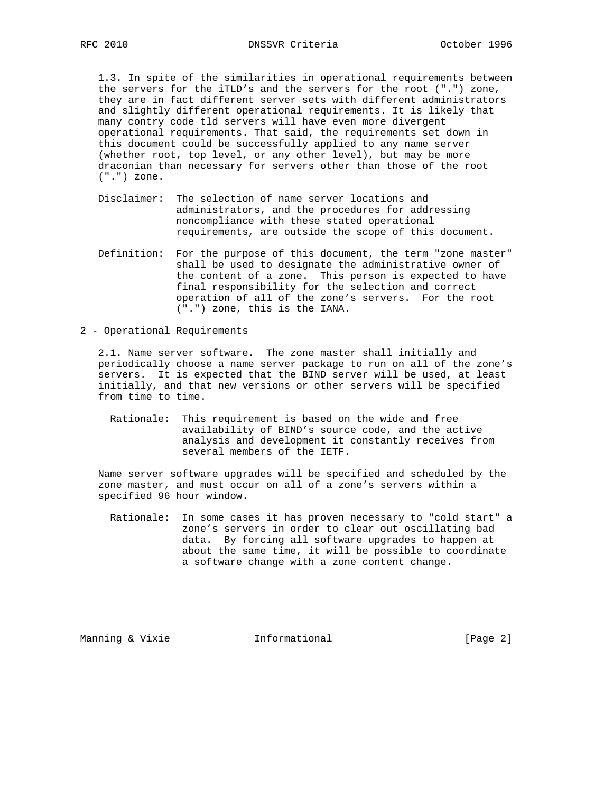1.3. In spite of the similarities in operational requirements between the servers for the iTLD's and the servers for the root (".") zone, they are in fact different server sets with different administrators and slightly different operational requirements. It is likely that many contry code tld servers will have even more divergent operational requirements. That said, the requirements set down in this document could be successfully applied to any name server (whether root, top level, or any other level), but may be more draconian than necessary for servers other than those of the root (".") zone.

- Disclaimer: The selection of name server locations and administrators, and the procedures for addressing noncompliance with these stated operational requirements, are outside the scope of this document.
- Definition: For the purpose of this document, the term "zone master" shall be used to designate the administrative owner of the content of a zone. This person is expected to have final responsibility for the selection and correct operation of all of the zone's servers. For the root (".") zone, this is the IANA.

2 - Operational Requirements

 2.1. Name server software. The zone master shall initially and periodically choose a name server package to run on all of the zone's servers. It is expected that the BIND server will be used, at least initially, and that new versions or other servers will be specified from time to time.

 Rationale: This requirement is based on the wide and free availability of BIND's source code, and the active analysis and development it constantly receives from several members of the IETF.

 Name server software upgrades will be specified and scheduled by the zone master, and must occur on all of a zone's servers within a specified 96 hour window.

 Rationale: In some cases it has proven necessary to "cold start" a zone's servers in order to clear out oscillating bad data. By forcing all software upgrades to happen at about the same time, it will be possible to coordinate a software change with a zone content change.

Manning & Vixie  $I_n$  Informational  $[Page 2]$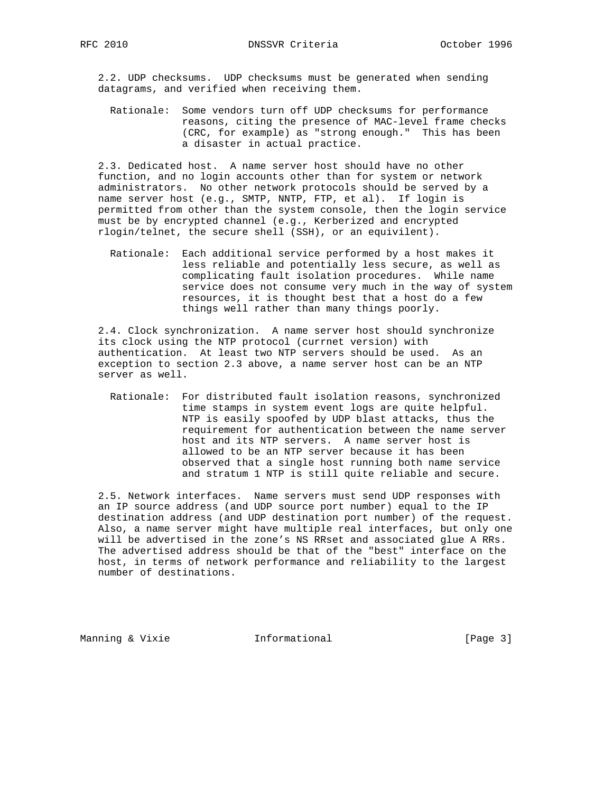2.2. UDP checksums. UDP checksums must be generated when sending datagrams, and verified when receiving them.

 Rationale: Some vendors turn off UDP checksums for performance reasons, citing the presence of MAC-level frame checks (CRC, for example) as "strong enough." This has been a disaster in actual practice.

 2.3. Dedicated host. A name server host should have no other function, and no login accounts other than for system or network administrators. No other network protocols should be served by a name server host (e.g., SMTP, NNTP, FTP, et al). If login is permitted from other than the system console, then the login service must be by encrypted channel (e.g., Kerberized and encrypted rlogin/telnet, the secure shell (SSH), or an equivilent).

 Rationale: Each additional service performed by a host makes it less reliable and potentially less secure, as well as complicating fault isolation procedures. While name service does not consume very much in the way of system resources, it is thought best that a host do a few things well rather than many things poorly.

 2.4. Clock synchronization. A name server host should synchronize its clock using the NTP protocol (currnet version) with authentication. At least two NTP servers should be used. As an exception to section 2.3 above, a name server host can be an NTP server as well.

 Rationale: For distributed fault isolation reasons, synchronized time stamps in system event logs are quite helpful. NTP is easily spoofed by UDP blast attacks, thus the requirement for authentication between the name server host and its NTP servers. A name server host is allowed to be an NTP server because it has been observed that a single host running both name service and stratum 1 NTP is still quite reliable and secure.

 2.5. Network interfaces. Name servers must send UDP responses with an IP source address (and UDP source port number) equal to the IP destination address (and UDP destination port number) of the request. Also, a name server might have multiple real interfaces, but only one will be advertised in the zone's NS RRset and associated glue A RRs. The advertised address should be that of the "best" interface on the host, in terms of network performance and reliability to the largest number of destinations.

Manning & Vixie  $I_n$  Informational  $[Page 3]$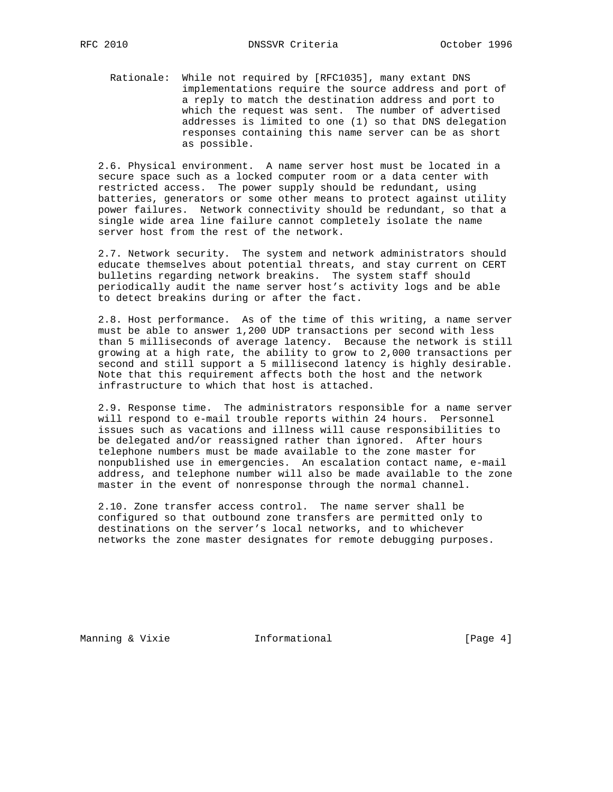Rationale: While not required by [RFC1035], many extant DNS implementations require the source address and port of a reply to match the destination address and port to which the request was sent. The number of advertised addresses is limited to one (1) so that DNS delegation responses containing this name server can be as short as possible.

 2.6. Physical environment. A name server host must be located in a secure space such as a locked computer room or a data center with restricted access. The power supply should be redundant, using batteries, generators or some other means to protect against utility power failures. Network connectivity should be redundant, so that a single wide area line failure cannot completely isolate the name server host from the rest of the network.

 2.7. Network security. The system and network administrators should educate themselves about potential threats, and stay current on CERT bulletins regarding network breakins. The system staff should periodically audit the name server host's activity logs and be able to detect breakins during or after the fact.

 2.8. Host performance. As of the time of this writing, a name server must be able to answer 1,200 UDP transactions per second with less than 5 milliseconds of average latency. Because the network is still growing at a high rate, the ability to grow to 2,000 transactions per second and still support a 5 millisecond latency is highly desirable. Note that this requirement affects both the host and the network infrastructure to which that host is attached.

 2.9. Response time. The administrators responsible for a name server will respond to e-mail trouble reports within 24 hours. Personnel issues such as vacations and illness will cause responsibilities to be delegated and/or reassigned rather than ignored. After hours telephone numbers must be made available to the zone master for nonpublished use in emergencies. An escalation contact name, e-mail address, and telephone number will also be made available to the zone master in the event of nonresponse through the normal channel.

 2.10. Zone transfer access control. The name server shall be configured so that outbound zone transfers are permitted only to destinations on the server's local networks, and to whichever networks the zone master designates for remote debugging purposes.

Manning & Vixie **Informational** [Page 4]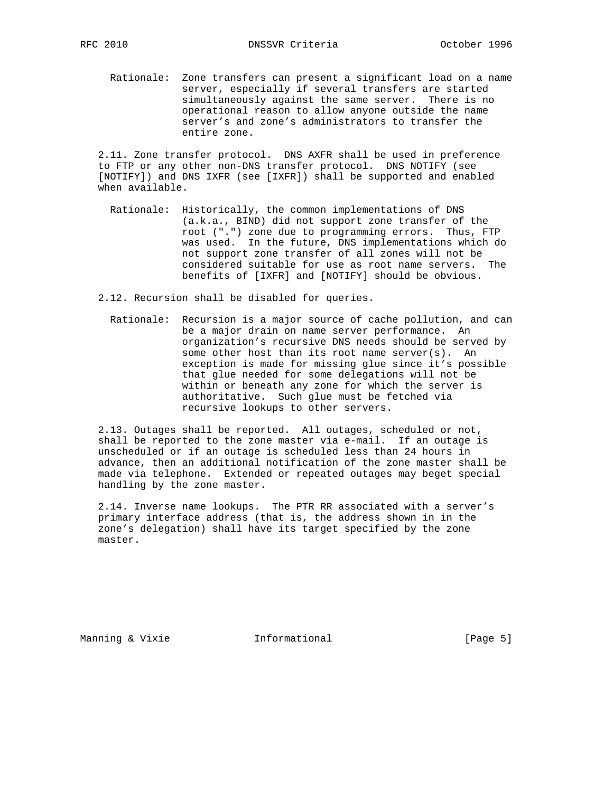Rationale: Zone transfers can present a significant load on a name server, especially if several transfers are started simultaneously against the same server. There is no operational reason to allow anyone outside the name server's and zone's administrators to transfer the entire zone.

 2.11. Zone transfer protocol. DNS AXFR shall be used in preference to FTP or any other non-DNS transfer protocol. DNS NOTIFY (see [NOTIFY]) and DNS IXFR (see [IXFR]) shall be supported and enabled when available.

 Rationale: Historically, the common implementations of DNS (a.k.a., BIND) did not support zone transfer of the root (".") zone due to programming errors. Thus, FTP was used. In the future, DNS implementations which do not support zone transfer of all zones will not be considered suitable for use as root name servers. The benefits of [IXFR] and [NOTIFY] should be obvious.

2.12. Recursion shall be disabled for queries.

 Rationale: Recursion is a major source of cache pollution, and can be a major drain on name server performance. An organization's recursive DNS needs should be served by some other host than its root name server(s). An exception is made for missing glue since it's possible that glue needed for some delegations will not be within or beneath any zone for which the server is authoritative. Such glue must be fetched via recursive lookups to other servers.

 2.13. Outages shall be reported. All outages, scheduled or not, shall be reported to the zone master via e-mail. If an outage is unscheduled or if an outage is scheduled less than 24 hours in advance, then an additional notification of the zone master shall be made via telephone. Extended or repeated outages may beget special handling by the zone master.

 2.14. Inverse name lookups. The PTR RR associated with a server's primary interface address (that is, the address shown in in the zone's delegation) shall have its target specified by the zone master.

Manning & Vixie  $I_n$  Informational  $[Page 5]$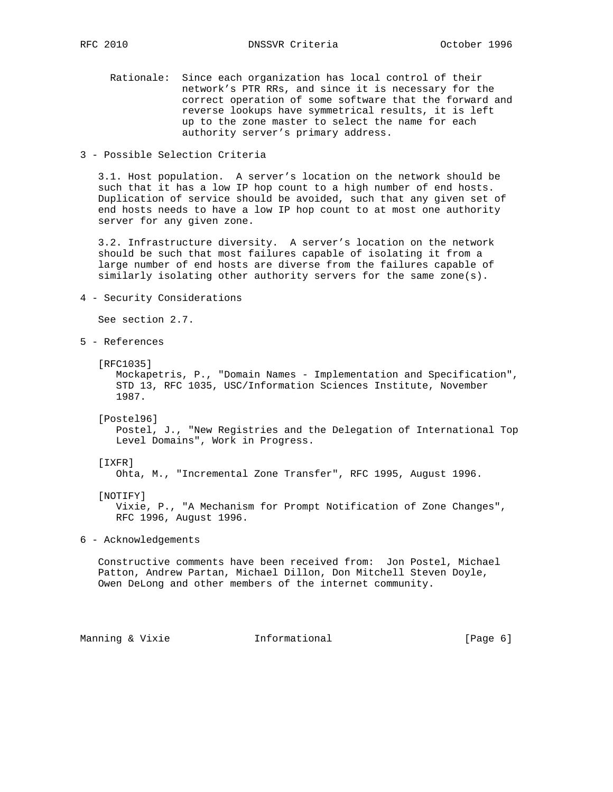RFC 2010 DNSSVR Criteria October 1996

- Rationale: Since each organization has local control of their network's PTR RRs, and since it is necessary for the correct operation of some software that the forward and reverse lookups have symmetrical results, it is left up to the zone master to select the name for each authority server's primary address.
- 3 Possible Selection Criteria

 3.1. Host population. A server's location on the network should be such that it has a low IP hop count to a high number of end hosts. Duplication of service should be avoided, such that any given set of end hosts needs to have a low IP hop count to at most one authority server for any given zone.

 3.2. Infrastructure diversity. A server's location on the network should be such that most failures capable of isolating it from a large number of end hosts are diverse from the failures capable of similarly isolating other authority servers for the same zone(s).

4 - Security Considerations

See section 2.7.

- 5 References
	- [RFC1035]

 Mockapetris, P., "Domain Names - Implementation and Specification", STD 13, RFC 1035, USC/Information Sciences Institute, November 1987.

[Postel96]

 Postel, J., "New Registries and the Delegation of International Top Level Domains", Work in Progress.

## [IXFR]

Ohta, M., "Incremental Zone Transfer", RFC 1995, August 1996.

## [NOTIFY]

 Vixie, P., "A Mechanism for Prompt Notification of Zone Changes", RFC 1996, August 1996.

6 - Acknowledgements

 Constructive comments have been received from: Jon Postel, Michael Patton, Andrew Partan, Michael Dillon, Don Mitchell Steven Doyle, Owen DeLong and other members of the internet community.

Manning & Vixie **Informational** [Page 6]